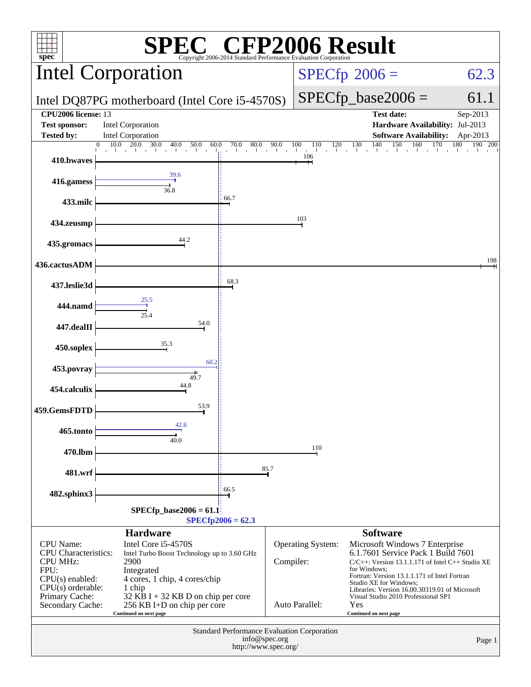| <b>CFP2006 Result</b><br>spec <sup>®</sup><br>Copyright 2006-2014 Standard Performance Evaluation Corporation                                                                                                                                                 |                                                                                               |                                       |                                                           |                                                                                                                                                                                                                         |                       |  |
|---------------------------------------------------------------------------------------------------------------------------------------------------------------------------------------------------------------------------------------------------------------|-----------------------------------------------------------------------------------------------|---------------------------------------|-----------------------------------------------------------|-------------------------------------------------------------------------------------------------------------------------------------------------------------------------------------------------------------------------|-----------------------|--|
|                                                                                                                                                                                                                                                               | <b>Intel Corporation</b>                                                                      |                                       | $SPECfp^{\circ}2006 =$                                    | 62.3                                                                                                                                                                                                                    |                       |  |
| Intel DQ87PG motherboard (Intel Core i5-4570S)                                                                                                                                                                                                                |                                                                                               |                                       |                                                           | $SPECfp\_base2006 =$                                                                                                                                                                                                    | 61.1                  |  |
| <b>CPU2006</b> license: 13<br><b>Test sponsor:</b><br><b>Tested by:</b>                                                                                                                                                                                       | <b>Intel Corporation</b><br><b>Intel Corporation</b>                                          |                                       |                                                           | <b>Test date:</b><br>Hardware Availability: Jul-2013<br><b>Software Availability:</b>                                                                                                                                   | Sep-2013<br>Apr-2013  |  |
|                                                                                                                                                                                                                                                               | 10.0<br>20.0<br>30.0<br>40.0<br>60.0<br>$\overline{0}$<br>50.0<br>$\blacksquare$              | 70.0<br>80.0<br>al control<br>a barra | 90.0<br>100<br>110<br>120<br>and the state<br>$\sim 10^7$ | 130<br>140<br>150<br>160<br>The Charles Charles<br>all the con-                                                                                                                                                         | 170<br>180<br>190 200 |  |
| 410.bwaves                                                                                                                                                                                                                                                    |                                                                                               |                                       | 106                                                       |                                                                                                                                                                                                                         |                       |  |
| 416.gamess                                                                                                                                                                                                                                                    | 39.6<br>36.8                                                                                  |                                       |                                                           |                                                                                                                                                                                                                         |                       |  |
| 433.milc                                                                                                                                                                                                                                                      |                                                                                               | 66.7                                  |                                                           |                                                                                                                                                                                                                         |                       |  |
| 434.zeusmp                                                                                                                                                                                                                                                    |                                                                                               |                                       | 103                                                       |                                                                                                                                                                                                                         |                       |  |
| 435.gromacs                                                                                                                                                                                                                                                   | 44.2                                                                                          |                                       |                                                           |                                                                                                                                                                                                                         |                       |  |
| 436.cactusADM                                                                                                                                                                                                                                                 |                                                                                               |                                       |                                                           |                                                                                                                                                                                                                         | 198                   |  |
| 437.leslie3d                                                                                                                                                                                                                                                  |                                                                                               | 68.3                                  |                                                           |                                                                                                                                                                                                                         |                       |  |
| 444.namd                                                                                                                                                                                                                                                      | 25.5<br>25.4                                                                                  |                                       |                                                           |                                                                                                                                                                                                                         |                       |  |
| 447.dealII                                                                                                                                                                                                                                                    | 54.0                                                                                          |                                       |                                                           |                                                                                                                                                                                                                         |                       |  |
| 450.soplex                                                                                                                                                                                                                                                    | 35.3                                                                                          |                                       |                                                           |                                                                                                                                                                                                                         |                       |  |
| 453.povray                                                                                                                                                                                                                                                    | 60.2                                                                                          |                                       |                                                           |                                                                                                                                                                                                                         |                       |  |
| 454.calculix                                                                                                                                                                                                                                                  | 49.7<br>44.8                                                                                  |                                       |                                                           |                                                                                                                                                                                                                         |                       |  |
| 459.GemsFDTD                                                                                                                                                                                                                                                  | 53.9                                                                                          |                                       |                                                           |                                                                                                                                                                                                                         |                       |  |
| 465.tonto                                                                                                                                                                                                                                                     | 42.6<br>40.0                                                                                  |                                       |                                                           |                                                                                                                                                                                                                         |                       |  |
| 470.lbm                                                                                                                                                                                                                                                       |                                                                                               |                                       | 110                                                       |                                                                                                                                                                                                                         |                       |  |
| 481.wrf                                                                                                                                                                                                                                                       |                                                                                               | 85.7                                  |                                                           |                                                                                                                                                                                                                         |                       |  |
| 482.sphinx3                                                                                                                                                                                                                                                   |                                                                                               | 66.5                                  |                                                           |                                                                                                                                                                                                                         |                       |  |
| $SPECfp\_base2006 = 61.1$<br>$SPECfp2006 = 62.3$                                                                                                                                                                                                              |                                                                                               |                                       |                                                           |                                                                                                                                                                                                                         |                       |  |
|                                                                                                                                                                                                                                                               | <b>Hardware</b>                                                                               |                                       |                                                           | <b>Software</b>                                                                                                                                                                                                         |                       |  |
| Intel Core i5-4570S<br><b>CPU</b> Name:<br><b>CPU</b> Characteristics:<br>Intel Turbo Boost Technology up to 3.60 GHz<br><b>CPU MHz:</b><br>2900<br>FPU:<br>Integrated<br>$CPU(s)$ enabled:<br>4 cores, 1 chip, 4 cores/chip<br>$CPU(s)$ orderable:<br>1 chip |                                                                                               |                                       | Operating System:<br>Compiler:                            | Microsoft Windows 7 Enterprise<br>6.1.7601 Service Pack 1 Build 7601<br>$C/C++$ : Version 13.1.1.171 of Intel $C++$ Studio XE<br>for Windows:<br>Fortran: Version 13.1.1.171 of Intel Fortran<br>Studio XE for Windows; |                       |  |
| Primary Cache:<br>Secondary Cache:                                                                                                                                                                                                                            | $32$ KB I + 32 KB D on chip per core<br>256 KB I+D on chip per core<br>Continued on next page |                                       | Auto Parallel:                                            | Libraries: Version 16.00.30319.01 of Microsoft<br>Visual Studio 2010 Professional SP1<br>Yes<br>Continued on next page                                                                                                  |                       |  |
| <b>Standard Performance Evaluation Corporation</b><br>info@spec.org<br>Page 1<br>http://www.spec.org/                                                                                                                                                         |                                                                                               |                                       |                                                           |                                                                                                                                                                                                                         |                       |  |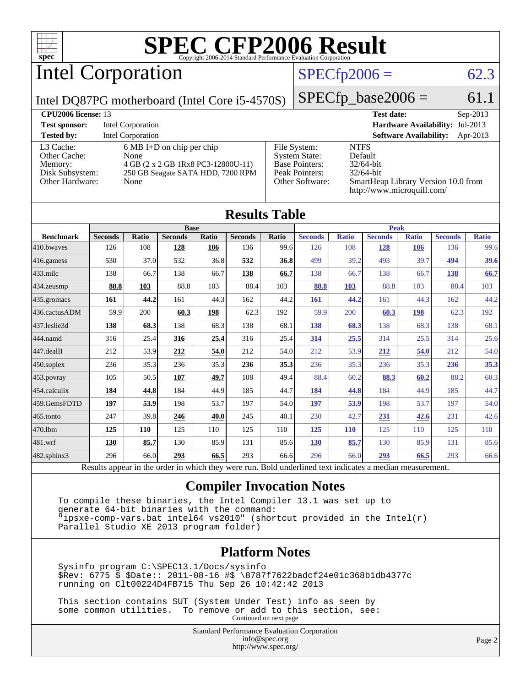

Intel Corporation

#### $SPECfp2006 = 62.3$  $SPECfp2006 = 62.3$

Intel DQ87PG motherboard (Intel Core i5-4570S)

 $SPECfp\_base2006 = 61.1$ 

| <b>CPU2006 license: 13</b>                                                 |                                                                                                                        |                                                                                                    | <b>Test date:</b><br>$Sep-2013$                                                                                             |
|----------------------------------------------------------------------------|------------------------------------------------------------------------------------------------------------------------|----------------------------------------------------------------------------------------------------|-----------------------------------------------------------------------------------------------------------------------------|
| <b>Test sponsor:</b>                                                       | Intel Corporation                                                                                                      |                                                                                                    | Hardware Availability: Jul-2013                                                                                             |
| <b>Tested by:</b>                                                          | <b>Intel Corporation</b>                                                                                               |                                                                                                    | <b>Software Availability:</b><br>Apr-2013                                                                                   |
| L3 Cache:<br>Other Cache:<br>Memory:<br>Disk Subsystem:<br>Other Hardware: | $6 MB I+D$ on chip per chip<br>None<br>4 GB (2 x 2 GB 1Rx8 PC3-12800U-11)<br>250 GB Seagate SATA HDD, 7200 RPM<br>None | File System:<br><b>System State:</b><br><b>Base Pointers:</b><br>Peak Pointers:<br>Other Software: | <b>NTFS</b><br>Default<br>$32/64$ -bit<br>$32/64$ -bit<br>SmartHeap Library Version 10.0 from<br>http://www.microquill.com/ |

| <b>Results Table</b> |                |              |                |       |                |       |                |              |                |              |                |              |
|----------------------|----------------|--------------|----------------|-------|----------------|-------|----------------|--------------|----------------|--------------|----------------|--------------|
| <b>Base</b>          |                |              |                |       | <b>Peak</b>    |       |                |              |                |              |                |              |
| <b>Benchmark</b>     | <b>Seconds</b> | <b>Ratio</b> | <b>Seconds</b> | Ratio | <b>Seconds</b> | Ratio | <b>Seconds</b> | <b>Ratio</b> | <b>Seconds</b> | <b>Ratio</b> | <b>Seconds</b> | <b>Ratio</b> |
| 410.bwayes           | 126            | 108          | <b>128</b>     | 106   | 136            | 99.6  | 126            | 108          | <u>128</u>     | <b>106</b>   | 136            | 99.6         |
| 416.gamess           | 530            | 37.0         | 532            | 36.8  | 532            | 36.8  | 499            | 39.2         | 493            | 39.7         | 494            | <u>39.6</u>  |
| 433.milc             | 138            | 66.7         | 138            | 66.7  | 138            | 66.7  | 138            | 66.7         | 138            | 66.7         | 138            | 66.7         |
| 434.zeusmp           | 88.8           | 103          | 88.8           | 103   | 88.4           | 103   | 88.8           | 103          | 88.8           | 103          | 88.4           | 103          |
| 435.gromacs          | 161            | 44.2         | 161            | 44.3  | 162            | 44.2  | 161            | 44.2         | 161            | 44.3         | 162            | 44.2         |
| 436.cactusADM        | 59.9           | 200          | 60.3           | 198   | 62.3           | 192   | 59.9           | 200          | 60.3           | 198          | 62.3           | 192          |
| 437.leslie3d         | 138            | 68.3         | 138            | 68.3  | 138            | 68.1  | 138            | 68.3         | 138            | 68.3         | 138            | 68.1         |
| 444.namd             | 316            | 25.4         | 316            | 25.4  | 316            | 25.4  | 314            | 25.5         | 314            | 25.5         | 314            | 25.6         |
| $447$ .dealII        | 212            | 53.9         | 212            | 54.0  | 212            | 54.0  | 212            | 53.9         | 212            | 54.0         | 212            | 54.0         |
| $450$ .soplex        | 236            | 35.3         | 236            | 35.3  | 236            | 35.3  | 236            | 35.3         | 236            | 35.3         | 236            | 35.3         |
| $ 453$ . povray      | 105            | 50.5         | 107            | 49.7  | 108            | 49.4  | 88.4           | 60.2         | 88.3           | 60.2         | 88.2           | 60.3         |
| 454.calculix         | 184            | 44.8         | 184            | 44.9  | 185            | 44.7  | 184            | 44.8         | 184            | 44.9         | 185            | 44.7         |
| 459.GemsFDTD         | 197            | 53.9         | 198            | 53.7  | 197            | 54.0  | 197            | 53.9         | 198            | 53.7         | 197            | 54.0         |
| 465.tonto            | 247            | 39.8         | 246            | 40.0  | 245            | 40.1  | 230            | 42.7         | 231            | 42.6         | 231            | 42.6         |
| 470.1bm              | 125            | 110          | 125            | 110   | 125            | 110   | 125            | <b>110</b>   | 125            | 110          | 125            | 110          |
| 481.wrf              | 130            | 85.7         | 130            | 85.9  | 131            | 85.6  | 130            | 85.7         | 130            | 85.9         | 131            | 85.6         |
| $482$ .sphinx $3$    | 296            | 66.0         | 293            | 66.5  | 293            | 66.6  | 296            | 66.0         | 293            | 66.5         | 293            | 66.6         |

Results appear in the [order in which they were run.](http://www.spec.org/auto/cpu2006/Docs/result-fields.html#RunOrder) Bold underlined text [indicates a median measurement.](http://www.spec.org/auto/cpu2006/Docs/result-fields.html#Median)

#### **[Compiler Invocation Notes](http://www.spec.org/auto/cpu2006/Docs/result-fields.html#CompilerInvocationNotes)**

 To compile these binaries, the Intel Compiler 13.1 was set up to generate 64-bit binaries with the command: "ipsxe-comp-vars.bat intel64 vs2010" (shortcut provided in the Intel(r) Parallel Studio XE 2013 program folder)

#### **[Platform Notes](http://www.spec.org/auto/cpu2006/Docs/result-fields.html#PlatformNotes)**

 Sysinfo program C:\SPEC13.1/Docs/sysinfo \$Rev: 6775 \$ \$Date:: 2011-08-16 #\$ \8787f7622badcf24e01c368b1db4377c running on Clt00224D4FB715 Thu Sep 26 10:42:42 2013

 This section contains SUT (System Under Test) info as seen by some common utilities. To remove or add to this section, see: Continued on next page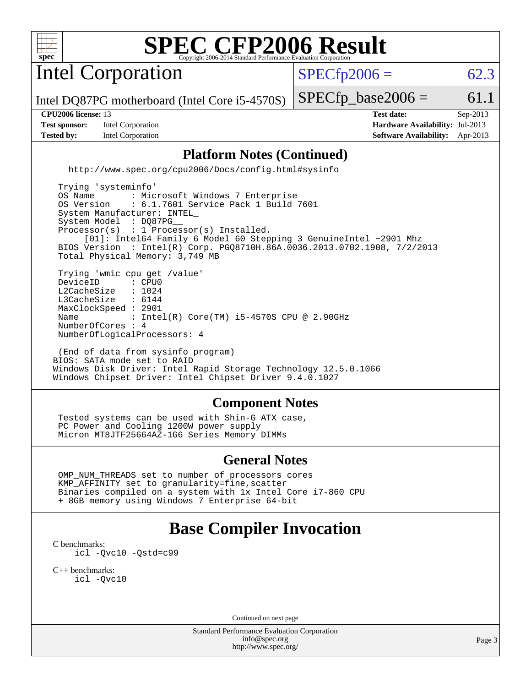

Intel Corporation

 $SPECTp2006 = 62.3$ 

Intel DQ87PG motherboard (Intel Core i5-4570S)

**[Test sponsor:](http://www.spec.org/auto/cpu2006/Docs/result-fields.html#Testsponsor)** Intel Corporation **[Hardware Availability:](http://www.spec.org/auto/cpu2006/Docs/result-fields.html#HardwareAvailability)** Jul-2013

 $SPECTp\_base2006 = 61.1$ 

**[CPU2006 license:](http://www.spec.org/auto/cpu2006/Docs/result-fields.html#CPU2006license)** 13 **[Test date:](http://www.spec.org/auto/cpu2006/Docs/result-fields.html#Testdate)** Sep-2013 **[Tested by:](http://www.spec.org/auto/cpu2006/Docs/result-fields.html#Testedby)** Intel Corporation **[Software Availability:](http://www.spec.org/auto/cpu2006/Docs/result-fields.html#SoftwareAvailability)** Apr-2013

#### **[Platform Notes \(Continued\)](http://www.spec.org/auto/cpu2006/Docs/result-fields.html#PlatformNotes)**

<http://www.spec.org/cpu2006/Docs/config.html#sysinfo>

 Trying 'systeminfo' OS Name : Microsoft Windows 7 Enterprise<br>OS Version : 6.1.7601 Service Pack 1 Build : 6.1.7601 Service Pack 1 Build 7601 System Manufacturer: INTEL\_ System Model : DQ87PG Processor(s) : 1 Processor(s) Installed. [01]: Intel64 Family 6 Model 60 Stepping 3 GenuineIntel ~2901 Mhz BIOS Version : Intel(R) Corp. PGQ8710H.86A.0036.2013.0702.1908, 7/2/2013 Total Physical Memory: 3,749 MB Trying 'wmic cpu get /value' DeviceID : CPU0<br>L2CacheSize : 1024 L2CacheSize : 1024<br>L3CacheSize : 6144 L3CacheSize MaxClockSpeed : 2901 Name : Intel(R) Core(TM) i5-4570S CPU @ 2.90GHz NumberOfCores : 4 NumberOfLogicalProcessors: 4

 (End of data from sysinfo program) BIOS: SATA mode set to RAID Windows Disk Driver: Intel Rapid Storage Technology 12.5.0.1066 Windows Chipset Driver: Intel Chipset Driver 9.4.0.1027

#### **[Component Notes](http://www.spec.org/auto/cpu2006/Docs/result-fields.html#ComponentNotes)**

 Tested systems can be used with Shin-G ATX case, PC Power and Cooling 1200W power supply Micron MT8JTF25664AZ-1G6 Series Memory DIMMs

#### **[General Notes](http://www.spec.org/auto/cpu2006/Docs/result-fields.html#GeneralNotes)**

 OMP\_NUM\_THREADS set to number of processors cores KMP\_AFFINITY set to granularity=fine,scatter Binaries compiled on a system with 1x Intel Core i7-860 CPU + 8GB memory using Windows 7 Enterprise 64-bit

## **[Base Compiler Invocation](http://www.spec.org/auto/cpu2006/Docs/result-fields.html#BaseCompilerInvocation)**

[C benchmarks](http://www.spec.org/auto/cpu2006/Docs/result-fields.html#Cbenchmarks): [icl -Qvc10](http://www.spec.org/cpu2006/results/res2014q3/cpu2006-20140701-30145.flags.html#user_CCbase_intel_icc_vc10_9607f3ecbcdf68042245f068e51b40c1) [-Qstd=c99](http://www.spec.org/cpu2006/results/res2014q3/cpu2006-20140701-30145.flags.html#user_CCbase_intel_compiler_c99_mode_1a3d110e3041b3ad4466830521bdad2a)

[C++ benchmarks:](http://www.spec.org/auto/cpu2006/Docs/result-fields.html#CXXbenchmarks) [icl -Qvc10](http://www.spec.org/cpu2006/results/res2014q3/cpu2006-20140701-30145.flags.html#user_CXXbase_intel_icc_vc10_9607f3ecbcdf68042245f068e51b40c1)

Continued on next page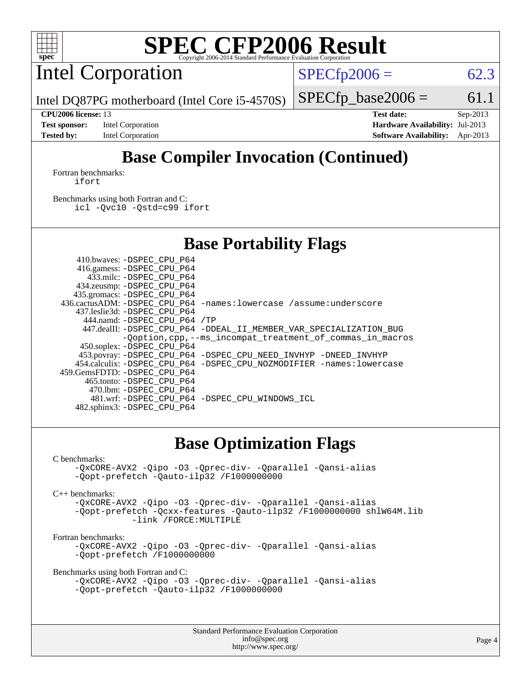

Intel Corporation

 $SPECfp2006 = 62.3$  $SPECfp2006 = 62.3$ 

Intel DQ87PG motherboard (Intel Core i5-4570S)

 $SPECTp\_base2006 = 61.1$ **[CPU2006 license:](http://www.spec.org/auto/cpu2006/Docs/result-fields.html#CPU2006license)** 13 **[Test date:](http://www.spec.org/auto/cpu2006/Docs/result-fields.html#Testdate)** Sep-2013

**[Test sponsor:](http://www.spec.org/auto/cpu2006/Docs/result-fields.html#Testsponsor)** Intel Corporation **[Hardware Availability:](http://www.spec.org/auto/cpu2006/Docs/result-fields.html#HardwareAvailability)** Jul-2013 **[Tested by:](http://www.spec.org/auto/cpu2006/Docs/result-fields.html#Testedby)** Intel Corporation **[Software Availability:](http://www.spec.org/auto/cpu2006/Docs/result-fields.html#SoftwareAvailability)** Apr-2013

# **[Base Compiler Invocation \(Continued\)](http://www.spec.org/auto/cpu2006/Docs/result-fields.html#BaseCompilerInvocation)**

[Fortran benchmarks](http://www.spec.org/auto/cpu2006/Docs/result-fields.html#Fortranbenchmarks): [ifort](http://www.spec.org/cpu2006/results/res2014q3/cpu2006-20140701-30145.flags.html#user_FCbase_intel_ifort_8a5e5e06b19a251bdeaf8fdab5d62f20)

[Benchmarks using both Fortran and C](http://www.spec.org/auto/cpu2006/Docs/result-fields.html#BenchmarksusingbothFortranandC): [icl -Qvc10](http://www.spec.org/cpu2006/results/res2014q3/cpu2006-20140701-30145.flags.html#user_CC_FCbase_intel_icc_vc10_9607f3ecbcdf68042245f068e51b40c1) [-Qstd=c99](http://www.spec.org/cpu2006/results/res2014q3/cpu2006-20140701-30145.flags.html#user_CC_FCbase_intel_compiler_c99_mode_1a3d110e3041b3ad4466830521bdad2a) [ifort](http://www.spec.org/cpu2006/results/res2014q3/cpu2006-20140701-30145.flags.html#user_CC_FCbase_intel_ifort_8a5e5e06b19a251bdeaf8fdab5d62f20)

### **[Base Portability Flags](http://www.spec.org/auto/cpu2006/Docs/result-fields.html#BasePortabilityFlags)**

|                              | 436.cactusADM: -DSPEC CPU P64 -names: lowercase /assume: underscore                                                                                                                                                                                                                                                                     |
|------------------------------|-----------------------------------------------------------------------------------------------------------------------------------------------------------------------------------------------------------------------------------------------------------------------------------------------------------------------------------------|
|                              |                                                                                                                                                                                                                                                                                                                                         |
| 444.namd: -DSPEC CPU P64 /TP |                                                                                                                                                                                                                                                                                                                                         |
|                              | 447.dealII: -DSPEC CPU_P64 -DDEAL_II_MEMBER_VAR_SPECIALIZATION_BUG                                                                                                                                                                                                                                                                      |
|                              | -Ooption, cpp, --ms incompat treatment of commas in macros                                                                                                                                                                                                                                                                              |
|                              |                                                                                                                                                                                                                                                                                                                                         |
|                              | 453.povray: -DSPEC_CPU_P64 -DSPEC_CPU_NEED_INVHYP -DNEED_INVHYP                                                                                                                                                                                                                                                                         |
|                              | 454.calculix: -DSPEC CPU P64 -DSPEC CPU NOZMODIFIER -names: lowercase                                                                                                                                                                                                                                                                   |
|                              |                                                                                                                                                                                                                                                                                                                                         |
|                              |                                                                                                                                                                                                                                                                                                                                         |
|                              |                                                                                                                                                                                                                                                                                                                                         |
|                              | 481.wrf: - DSPEC CPU P64 - DSPEC CPU WINDOWS ICL                                                                                                                                                                                                                                                                                        |
|                              |                                                                                                                                                                                                                                                                                                                                         |
|                              | 410.bwaves: -DSPEC CPU P64<br>416.gamess: -DSPEC_CPU_P64<br>433.milc: -DSPEC CPU P64<br>434.zeusmp: - DSPEC_CPU_P64<br>435.gromacs: -DSPEC CPU P64<br>437.leslie3d: -DSPEC CPU P64<br>450.soplex: -DSPEC CPU P64<br>459.GemsFDTD: -DSPEC CPU P64<br>465.tonto: -DSPEC CPU P64<br>470.1bm: -DSPEC CPU P64<br>482.sphinx3: -DSPEC_CPU_P64 |

### **[Base Optimization Flags](http://www.spec.org/auto/cpu2006/Docs/result-fields.html#BaseOptimizationFlags)**

#### [C benchmarks](http://www.spec.org/auto/cpu2006/Docs/result-fields.html#Cbenchmarks):

```
-QxCORE-AVX2 -Qipo -O3 -Qprec-div- -Qparallel -Qansi-alias
-Qopt-prefetch -Qauto-ilp32 /F1000000000
```
[C++ benchmarks:](http://www.spec.org/auto/cpu2006/Docs/result-fields.html#CXXbenchmarks)

[-QxCORE-AVX2](http://www.spec.org/cpu2006/results/res2014q3/cpu2006-20140701-30145.flags.html#user_CXXbase_f-QxAVX2_f98716b5f9e905f99c943c56f21bf430) [-Qipo](http://www.spec.org/cpu2006/results/res2014q3/cpu2006-20140701-30145.flags.html#user_CXXbase_f-Qipo) [-O3](http://www.spec.org/cpu2006/results/res2014q3/cpu2006-20140701-30145.flags.html#user_CXXbase_f-O3) [-Qprec-div-](http://www.spec.org/cpu2006/results/res2014q3/cpu2006-20140701-30145.flags.html#user_CXXbase_f-Qprec-div-) [-Qparallel](http://www.spec.org/cpu2006/results/res2014q3/cpu2006-20140701-30145.flags.html#user_CXXbase_f-Qparallel) [-Qansi-alias](http://www.spec.org/cpu2006/results/res2014q3/cpu2006-20140701-30145.flags.html#user_CXXbase_f-Qansi-alias) [-Qopt-prefetch](http://www.spec.org/cpu2006/results/res2014q3/cpu2006-20140701-30145.flags.html#user_CXXbase_f-Qprefetch_37c211608666b9dff9380561f602f0a8) [-Qcxx-features](http://www.spec.org/cpu2006/results/res2014q3/cpu2006-20140701-30145.flags.html#user_CXXbase_f-Qcxx_features_dbf36c8a6dba956e22f1645e4dcd4d98) [-Qauto-ilp32](http://www.spec.org/cpu2006/results/res2014q3/cpu2006-20140701-30145.flags.html#user_CXXbase_f-Qauto-ilp32) [/F1000000000](http://www.spec.org/cpu2006/results/res2014q3/cpu2006-20140701-30145.flags.html#user_CXXbase_set_stack_space_25d7749c1988d91b7f93afbc0ec53727) [shlW64M.lib](http://www.spec.org/cpu2006/results/res2014q3/cpu2006-20140701-30145.flags.html#user_CXXbase_SmartHeap64_c4f7f76711bdf8c0633a5c1edf6e5396)  [-link /FORCE:MULTIPLE](http://www.spec.org/cpu2006/results/res2014q3/cpu2006-20140701-30145.flags.html#user_CXXbase_link_force_multiple2_070fe330869edf77077b841074b8b0b6)

#### [Fortran benchmarks](http://www.spec.org/auto/cpu2006/Docs/result-fields.html#Fortranbenchmarks):

[-QxCORE-AVX2](http://www.spec.org/cpu2006/results/res2014q3/cpu2006-20140701-30145.flags.html#user_FCbase_f-QxAVX2_f98716b5f9e905f99c943c56f21bf430) [-Qipo](http://www.spec.org/cpu2006/results/res2014q3/cpu2006-20140701-30145.flags.html#user_FCbase_f-Qipo) [-O3](http://www.spec.org/cpu2006/results/res2014q3/cpu2006-20140701-30145.flags.html#user_FCbase_f-O3) [-Qprec-div-](http://www.spec.org/cpu2006/results/res2014q3/cpu2006-20140701-30145.flags.html#user_FCbase_f-Qprec-div-) [-Qparallel](http://www.spec.org/cpu2006/results/res2014q3/cpu2006-20140701-30145.flags.html#user_FCbase_f-Qparallel) [-Qansi-alias](http://www.spec.org/cpu2006/results/res2014q3/cpu2006-20140701-30145.flags.html#user_FCbase_f-Qansi-alias) [-Qopt-prefetch](http://www.spec.org/cpu2006/results/res2014q3/cpu2006-20140701-30145.flags.html#user_FCbase_f-Qprefetch_37c211608666b9dff9380561f602f0a8) [/F1000000000](http://www.spec.org/cpu2006/results/res2014q3/cpu2006-20140701-30145.flags.html#user_FCbase_set_stack_space_25d7749c1988d91b7f93afbc0ec53727)

[Benchmarks using both Fortran and C](http://www.spec.org/auto/cpu2006/Docs/result-fields.html#BenchmarksusingbothFortranandC):

```
-QxCORE-AVX2 -Qipo -O3 -Qprec-div- -Qparallel -Qansi-alias
-Qopt-prefetch -Qauto-ilp32 /F1000000000
```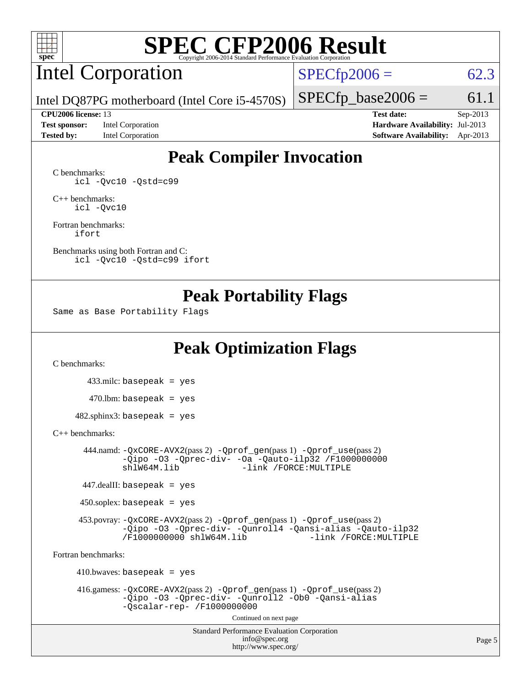

## Intel Corporation

 $SPECfp2006 = 62.3$  $SPECfp2006 = 62.3$ 

Intel DQ87PG motherboard (Intel Core i5-4570S)

**[Test sponsor:](http://www.spec.org/auto/cpu2006/Docs/result-fields.html#Testsponsor)** Intel Corporation **[Hardware Availability:](http://www.spec.org/auto/cpu2006/Docs/result-fields.html#HardwareAvailability)** Jul-2013 **[Tested by:](http://www.spec.org/auto/cpu2006/Docs/result-fields.html#Testedby)** Intel Corporation **[Software Availability:](http://www.spec.org/auto/cpu2006/Docs/result-fields.html#SoftwareAvailability)** Apr-2013

 $SPECTp\_base2006 = 61.1$ **[CPU2006 license:](http://www.spec.org/auto/cpu2006/Docs/result-fields.html#CPU2006license)** 13 **[Test date:](http://www.spec.org/auto/cpu2006/Docs/result-fields.html#Testdate)** Sep-2013

# **[Peak Compiler Invocation](http://www.spec.org/auto/cpu2006/Docs/result-fields.html#PeakCompilerInvocation)**

[C benchmarks](http://www.spec.org/auto/cpu2006/Docs/result-fields.html#Cbenchmarks): [icl -Qvc10](http://www.spec.org/cpu2006/results/res2014q3/cpu2006-20140701-30145.flags.html#user_CCpeak_intel_icc_vc10_9607f3ecbcdf68042245f068e51b40c1) [-Qstd=c99](http://www.spec.org/cpu2006/results/res2014q3/cpu2006-20140701-30145.flags.html#user_CCpeak_intel_compiler_c99_mode_1a3d110e3041b3ad4466830521bdad2a)

[C++ benchmarks:](http://www.spec.org/auto/cpu2006/Docs/result-fields.html#CXXbenchmarks) [icl -Qvc10](http://www.spec.org/cpu2006/results/res2014q3/cpu2006-20140701-30145.flags.html#user_CXXpeak_intel_icc_vc10_9607f3ecbcdf68042245f068e51b40c1)

[Fortran benchmarks](http://www.spec.org/auto/cpu2006/Docs/result-fields.html#Fortranbenchmarks): [ifort](http://www.spec.org/cpu2006/results/res2014q3/cpu2006-20140701-30145.flags.html#user_FCpeak_intel_ifort_8a5e5e06b19a251bdeaf8fdab5d62f20)

[Benchmarks using both Fortran and C](http://www.spec.org/auto/cpu2006/Docs/result-fields.html#BenchmarksusingbothFortranandC): [icl -Qvc10](http://www.spec.org/cpu2006/results/res2014q3/cpu2006-20140701-30145.flags.html#user_CC_FCpeak_intel_icc_vc10_9607f3ecbcdf68042245f068e51b40c1) [-Qstd=c99](http://www.spec.org/cpu2006/results/res2014q3/cpu2006-20140701-30145.flags.html#user_CC_FCpeak_intel_compiler_c99_mode_1a3d110e3041b3ad4466830521bdad2a) [ifort](http://www.spec.org/cpu2006/results/res2014q3/cpu2006-20140701-30145.flags.html#user_CC_FCpeak_intel_ifort_8a5e5e06b19a251bdeaf8fdab5d62f20)

### **[Peak Portability Flags](http://www.spec.org/auto/cpu2006/Docs/result-fields.html#PeakPortabilityFlags)**

Same as Base Portability Flags

## **[Peak Optimization Flags](http://www.spec.org/auto/cpu2006/Docs/result-fields.html#PeakOptimizationFlags)**

[C benchmarks](http://www.spec.org/auto/cpu2006/Docs/result-fields.html#Cbenchmarks):

 433.milc: basepeak = yes  $470.1$ bm: basepeak = yes

 $482$ .sphinx3: basepeak = yes

#### [C++ benchmarks:](http://www.spec.org/auto/cpu2006/Docs/result-fields.html#CXXbenchmarks)

 444.namd: [-QxCORE-AVX2](http://www.spec.org/cpu2006/results/res2014q3/cpu2006-20140701-30145.flags.html#user_peakPASS2_CXXFLAGSPASS2_LDFLAGS444_namd_f-QxAVX2_f98716b5f9e905f99c943c56f21bf430)(pass 2) [-Qprof\\_gen](http://www.spec.org/cpu2006/results/res2014q3/cpu2006-20140701-30145.flags.html#user_peakPASS1_CXXFLAGSPASS1_LDFLAGS444_namd_Qprof_gen)(pass 1) [-Qprof\\_use](http://www.spec.org/cpu2006/results/res2014q3/cpu2006-20140701-30145.flags.html#user_peakPASS2_CXXFLAGSPASS2_LDFLAGS444_namd_Qprof_use)(pass 2) [-Qipo](http://www.spec.org/cpu2006/results/res2014q3/cpu2006-20140701-30145.flags.html#user_peakOPTIMIZE444_namd_f-Qipo) [-O3](http://www.spec.org/cpu2006/results/res2014q3/cpu2006-20140701-30145.flags.html#user_peakOPTIMIZE444_namd_f-O3) [-Qprec-div-](http://www.spec.org/cpu2006/results/res2014q3/cpu2006-20140701-30145.flags.html#user_peakOPTIMIZE444_namd_f-Qprec-div-) [-Oa](http://www.spec.org/cpu2006/results/res2014q3/cpu2006-20140701-30145.flags.html#user_peakOPTIMIZE444_namd_f-Oa) [-Qauto-ilp32](http://www.spec.org/cpu2006/results/res2014q3/cpu2006-20140701-30145.flags.html#user_peakCXXOPTIMIZE444_namd_f-Qauto-ilp32) [/F1000000000](http://www.spec.org/cpu2006/results/res2014q3/cpu2006-20140701-30145.flags.html#user_peakEXTRA_LDFLAGS444_namd_set_stack_space_25d7749c1988d91b7f93afbc0ec53727)0<br>shlW64M.lib -link /FORCE:MULTIPLE -link /FORCE: MULTIPLE

447.dealII: basepeak = yes

 $450$ .soplex: basepeak = yes

 453.povray: [-QxCORE-AVX2](http://www.spec.org/cpu2006/results/res2014q3/cpu2006-20140701-30145.flags.html#user_peakPASS2_CXXFLAGSPASS2_LDFLAGS453_povray_f-QxAVX2_f98716b5f9e905f99c943c56f21bf430)(pass 2) [-Qprof\\_gen](http://www.spec.org/cpu2006/results/res2014q3/cpu2006-20140701-30145.flags.html#user_peakPASS1_CXXFLAGSPASS1_LDFLAGS453_povray_Qprof_gen)(pass 1) [-Qprof\\_use](http://www.spec.org/cpu2006/results/res2014q3/cpu2006-20140701-30145.flags.html#user_peakPASS2_CXXFLAGSPASS2_LDFLAGS453_povray_Qprof_use)(pass 2) [-Qipo](http://www.spec.org/cpu2006/results/res2014q3/cpu2006-20140701-30145.flags.html#user_peakOPTIMIZE453_povray_f-Qipo) [-O3](http://www.spec.org/cpu2006/results/res2014q3/cpu2006-20140701-30145.flags.html#user_peakOPTIMIZE453_povray_f-O3) [-Qprec-div-](http://www.spec.org/cpu2006/results/res2014q3/cpu2006-20140701-30145.flags.html#user_peakOPTIMIZE453_povray_f-Qprec-div-) [-Qunroll4](http://www.spec.org/cpu2006/results/res2014q3/cpu2006-20140701-30145.flags.html#user_peakOPTIMIZE453_povray_f-Qunroll_013b1c0ea3aa84ef2c65e488bcc3d968) [-Qansi-alias](http://www.spec.org/cpu2006/results/res2014q3/cpu2006-20140701-30145.flags.html#user_peakOPTIMIZE453_povray_f-Qansi-alias) [-Qauto-ilp32](http://www.spec.org/cpu2006/results/res2014q3/cpu2006-20140701-30145.flags.html#user_peakCXXOPTIMIZE453_povray_f-Qauto-ilp32) [/F1000000000](http://www.spec.org/cpu2006/results/res2014q3/cpu2006-20140701-30145.flags.html#user_peakEXTRA_LDFLAGS453_povray_set_stack_space_25d7749c1988d91b7f93afbc0ec53727) [shlW64M.lib](http://www.spec.org/cpu2006/results/res2014q3/cpu2006-20140701-30145.flags.html#user_peakEXTRA_LIBS453_povray_SmartHeap64_c4f7f76711bdf8c0633a5c1edf6e5396)

[Fortran benchmarks](http://www.spec.org/auto/cpu2006/Docs/result-fields.html#Fortranbenchmarks):

 $410.bwaves: basepeak = yes$  416.gamess: [-QxCORE-AVX2](http://www.spec.org/cpu2006/results/res2014q3/cpu2006-20140701-30145.flags.html#user_peakPASS2_FFLAGSPASS2_LDFLAGS416_gamess_f-QxAVX2_f98716b5f9e905f99c943c56f21bf430)(pass 2) [-Qprof\\_gen](http://www.spec.org/cpu2006/results/res2014q3/cpu2006-20140701-30145.flags.html#user_peakPASS1_FFLAGSPASS1_LDFLAGS416_gamess_Qprof_gen)(pass 1) [-Qprof\\_use](http://www.spec.org/cpu2006/results/res2014q3/cpu2006-20140701-30145.flags.html#user_peakPASS2_FFLAGSPASS2_LDFLAGS416_gamess_Qprof_use)(pass 2) [-Qipo](http://www.spec.org/cpu2006/results/res2014q3/cpu2006-20140701-30145.flags.html#user_peakOPTIMIZE416_gamess_f-Qipo) [-O3](http://www.spec.org/cpu2006/results/res2014q3/cpu2006-20140701-30145.flags.html#user_peakOPTIMIZE416_gamess_f-O3) [-Qprec-div-](http://www.spec.org/cpu2006/results/res2014q3/cpu2006-20140701-30145.flags.html#user_peakOPTIMIZE416_gamess_f-Qprec-div-) [-Qunroll2](http://www.spec.org/cpu2006/results/res2014q3/cpu2006-20140701-30145.flags.html#user_peakOPTIMIZE416_gamess_f-Qunroll_1d9456aa650e77fc2a0cf43cef3fa08c) [-Ob0](http://www.spec.org/cpu2006/results/res2014q3/cpu2006-20140701-30145.flags.html#user_peakOPTIMIZE416_gamess_f-Ob_n_fbe6f6428adb7d4b74b1e99bb2444c2d) [-Qansi-alias](http://www.spec.org/cpu2006/results/res2014q3/cpu2006-20140701-30145.flags.html#user_peakOPTIMIZE416_gamess_f-Qansi-alias) [-Qscalar-rep-](http://www.spec.org/cpu2006/results/res2014q3/cpu2006-20140701-30145.flags.html#user_peakOPTIMIZE416_gamess_f-Qscalar-rep_02cb9e11a5340d80ab3062d84e5dfb2e) [/F1000000000](http://www.spec.org/cpu2006/results/res2014q3/cpu2006-20140701-30145.flags.html#user_peakEXTRA_LDFLAGS416_gamess_set_stack_space_25d7749c1988d91b7f93afbc0ec53727) Continued on next page